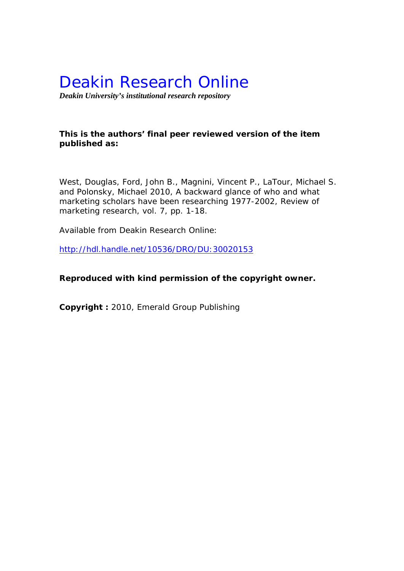# Deakin Research Online

*Deakin University's institutional research repository* 

# **This is the authors' final peer reviewed version of the item published as:**

West, Douglas, Ford, John B., Magnini, Vincent P., LaTour, Michael S. and Polonsky, Michael 2010, A backward glance of who and what marketing scholars have been researching 1977-2002*, Review of marketing research*, vol. 7, pp. 1-18.

Available from Deakin Research Online:

http://hdl.handle.net/10536/DRO/DU:30020153

# **Reproduced with kind permission of the copyright owner.**

**Copyright :** 2010, Emerald Group Publishing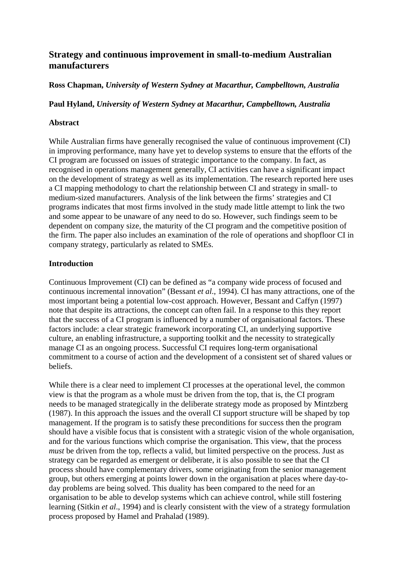# **Strategy and continuous improvement in small-to-medium Australian manufacturers**

# **Ross Chapman,** *University of Western Sydney at Macarthur, Campbelltown, Australia*

#### **Paul Hyland,** *University of Western Sydney at Macarthur, Campbelltown, Australia*

#### **Abstract**

While Australian firms have generally recognised the value of continuous improvement (CI) in improving performance, many have yet to develop systems to ensure that the efforts of the CI program are focussed on issues of strategic importance to the company. In fact, as recognised in operations management generally, CI activities can have a significant impact on the development of strategy as well as its implementation. The research reported here uses a CI mapping methodology to chart the relationship between CI and strategy in small- to medium-sized manufacturers. Analysis of the link between the firms' strategies and CI programs indicates that most firms involved in the study made little attempt to link the two and some appear to be unaware of any need to do so. However, such findings seem to be dependent on company size, the maturity of the CI program and the competitive position of the firm. The paper also includes an examination of the role of operations and shopfloor CI in company strategy, particularly as related to SMEs.

# **Introduction**

Continuous Improvement (CI) can be defined as "a company wide process of focused and continuous incremental innovation" (Bessant *et al*., 1994). CI has many attractions, one of the most important being a potential low-cost approach. However, Bessant and Caffyn (1997) note that despite its attractions, the concept can often fail. In a response to this they report that the success of a CI program is influenced by a number of organisational factors. These factors include: a clear strategic framework incorporating CI, an underlying supportive culture, an enabling infrastructure, a supporting toolkit and the necessity to strategically manage CI as an ongoing process. Successful CI requires long-term organisational commitment to a course of action and the development of a consistent set of shared values or beliefs.

While there is a clear need to implement CI processes at the operational level, the common view is that the program as a whole must be driven from the top, that is, the CI program needs to be managed strategically in the deliberate strategy mode as proposed by Mintzberg (1987). In this approach the issues and the overall CI support structure will be shaped by top management. If the program is to satisfy these preconditions for success then the program should have a visible focus that is consistent with a strategic vision of the whole organisation, and for the various functions which comprise the organisation. This view, that the process *must* be driven from the top, reflects a valid, but limited perspective on the process. Just as strategy can be regarded as emergent or deliberate, it is also possible to see that the CI process should have complementary drivers, some originating from the senior management group, but others emerging at points lower down in the organisation at places where day-today problems are being solved. This duality has been compared to the need for an organisation to be able to develop systems which can achieve control, while still fostering learning (Sitkin *et al*., 1994) and is clearly consistent with the view of a strategy formulation process proposed by Hamel and Prahalad (1989).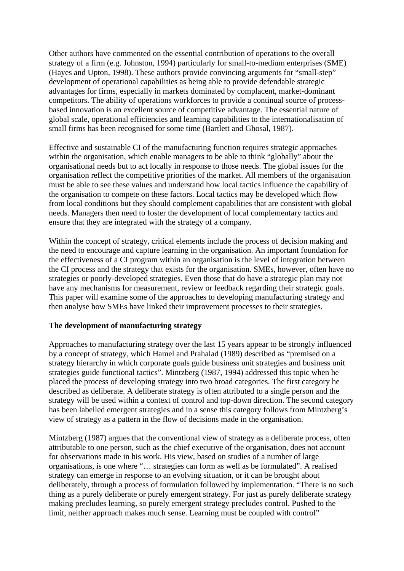Other authors have commented on the essential contribution of operations to the overall strategy of a firm (e.g. Johnston, 1994) particularly for small-to-medium enterprises (SME) (Hayes and Upton, 1998). These authors provide convincing arguments for "small-step" development of operational capabilities as being able to provide defendable strategic advantages for firms, especially in markets dominated by complacent, market-dominant competitors. The ability of operations workforces to provide a continual source of processbased innovation is an excellent source of competitive advantage. The essential nature of global scale, operational efficiencies and learning capabilities to the internationalisation of small firms has been recognised for some time (Bartlett and Ghosal, 1987).

Effective and sustainable CI of the manufacturing function requires strategic approaches within the organisation, which enable managers to be able to think "globally" about the organisational needs but to act locally in response to those needs. The global issues for the organisation reflect the competitive priorities of the market. All members of the organisation must be able to see these values and understand how local tactics influence the capability of the organisation to compete on these factors. Local tactics may be developed which flow from local conditions but they should complement capabilities that are consistent with global needs. Managers then need to foster the development of local complementary tactics and ensure that they are integrated with the strategy of a company.

Within the concept of strategy, critical elements include the process of decision making and the need to encourage and capture learning in the organisation. An important foundation for the effectiveness of a CI program within an organisation is the level of integration between the CI process and the strategy that exists for the organisation. SMEs, however, often have no strategies or poorly-developed strategies. Even those that do have a strategic plan may not have any mechanisms for measurement, review or feedback regarding their strategic goals. This paper will examine some of the approaches to developing manufacturing strategy and then analyse how SMEs have linked their improvement processes to their strategies.

#### **The development of manufacturing strategy**

Approaches to manufacturing strategy over the last 15 years appear to be strongly influenced by a concept of strategy, which Hamel and Prahalad (1989) described as "premised on a strategy hierarchy in which corporate goals guide business unit strategies and business unit strategies guide functional tactics". Mintzberg (1987, 1994) addressed this topic when he placed the process of developing strategy into two broad categories. The first category he described as deliberate. A deliberate strategy is often attributed to a single person and the strategy will be used within a context of control and top-down direction. The second category has been labelled emergent strategies and in a sense this category follows from Mintzberg's view of strategy as a pattern in the flow of decisions made in the organisation.

Mintzberg (1987) argues that the conventional view of strategy as a deliberate process, often attributable to one person, such as the chief executive of the organisation, does not account for observations made in his work. His view, based on studies of a number of large organisations, is one where "… strategies can form as well as be formulated". A realised strategy can emerge in response to an evolving situation, or it can be brought about deliberately, through a process of formulation followed by implementation. "There is no such thing as a purely deliberate or purely emergent strategy. For just as purely deliberate strategy making precludes learning, so purely emergent strategy precludes control. Pushed to the limit, neither approach makes much sense. Learning must be coupled with control"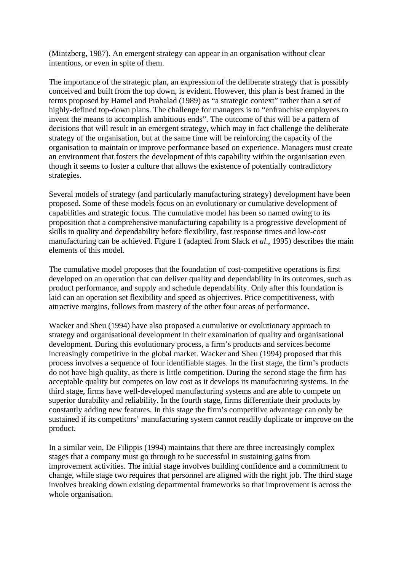(Mintzberg, 1987). An emergent strategy can appear in an organisation without clear intentions, or even in spite of them.

The importance of the strategic plan, an expression of the deliberate strategy that is possibly conceived and built from the top down, is evident. However, this plan is best framed in the terms proposed by Hamel and Prahalad (1989) as "a strategic context" rather than a set of highly-defined top-down plans. The challenge for managers is to "enfranchise employees to invent the means to accomplish ambitious ends". The outcome of this will be a pattern of decisions that will result in an emergent strategy, which may in fact challenge the deliberate strategy of the organisation, but at the same time will be reinforcing the capacity of the organisation to maintain or improve performance based on experience. Managers must create an environment that fosters the development of this capability within the organisation even though it seems to foster a culture that allows the existence of potentially contradictory strategies.

Several models of strategy (and particularly manufacturing strategy) development have been proposed. Some of these models focus on an evolutionary or cumulative development of capabilities and strategic focus. The cumulative model has been so named owing to its proposition that a comprehensive manufacturing capability is a progressive development of skills in quality and dependability before flexibility, fast response times and low-cost manufacturing can be achieved. Figure 1 (adapted from Slack *et al*., 1995) describes the main elements of this model.

The cumulative model proposes that the foundation of cost-competitive operations is first developed on an operation that can deliver quality and dependability in its outcomes, such as product performance, and supply and schedule dependability. Only after this foundation is laid can an operation set flexibility and speed as objectives. Price competitiveness, with attractive margins, follows from mastery of the other four areas of performance.

Wacker and Sheu (1994) have also proposed a cumulative or evolutionary approach to strategy and organisational development in their examination of quality and organisational development. During this evolutionary process, a firm's products and services become increasingly competitive in the global market. Wacker and Sheu (1994) proposed that this process involves a sequence of four identifiable stages. In the first stage, the firm's products do not have high quality, as there is little competition. During the second stage the firm has acceptable quality but competes on low cost as it develops its manufacturing systems. In the third stage, firms have well-developed manufacturing systems and are able to compete on superior durability and reliability. In the fourth stage, firms differentiate their products by constantly adding new features. In this stage the firm's competitive advantage can only be sustained if its competitors' manufacturing system cannot readily duplicate or improve on the product.

In a similar vein, De Filippis (1994) maintains that there are three increasingly complex stages that a company must go through to be successful in sustaining gains from improvement activities. The initial stage involves building confidence and a commitment to change, while stage two requires that personnel are aligned with the right job. The third stage involves breaking down existing departmental frameworks so that improvement is across the whole organisation.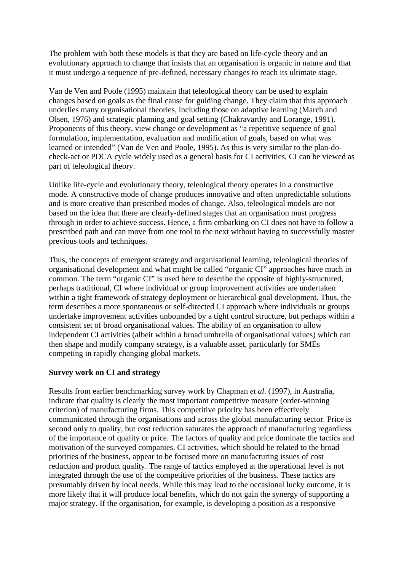The problem with both these models is that they are based on life-cycle theory and an evolutionary approach to change that insists that an organisation is organic in nature and that it must undergo a sequence of pre-defined, necessary changes to reach its ultimate stage.

Van de Ven and Poole (1995) maintain that teleological theory can be used to explain changes based on goals as the final cause for guiding change. They claim that this approach underlies many organisational theories, including those on adaptive learning (March and Olsen, 1976) and strategic planning and goal setting (Chakravarthy and Lorange, 1991). Proponents of this theory, view change or development as "a repetitive sequence of goal formulation, implementation, evaluation and modification of goals, based on what was learned or intended" (Van de Ven and Poole, 1995). As this is very similar to the plan-docheck-act or PDCA cycle widely used as a general basis for CI activities, CI can be viewed as part of teleological theory.

Unlike life-cycle and evolutionary theory, teleological theory operates in a constructive mode. A constructive mode of change produces innovative and often unpredictable solutions and is more creative than prescribed modes of change. Also, teleological models are not based on the idea that there are clearly-defined stages that an organisation must progress through in order to achieve success. Hence, a firm embarking on CI does not have to follow a prescribed path and can move from one tool to the next without having to successfully master previous tools and techniques.

Thus, the concepts of emergent strategy and organisational learning, teleological theories of organisational development and what might be called "organic CI" approaches have much in common. The term "organic CI" is used here to describe the opposite of highly-structured, perhaps traditional, CI where individual or group improvement activities are undertaken within a tight framework of strategy deployment or hierarchical goal development. Thus, the term describes a more spontaneous or self-directed CI approach where individuals or groups undertake improvement activities unbounded by a tight control structure, but perhaps within a consistent set of broad organisational values. The ability of an organisation to allow independent CI activities (albeit within a broad umbrella of organisational values) which can then shape and modify company strategy, is a valuable asset, particularly for SMEs competing in rapidly changing global markets.

# **Survey work on CI and strategy**

Results from earlier benchmarking survey work by Chapman *et al*. (1997), in Australia, indicate that quality is clearly the most important competitive measure (order-winning criterion) of manufacturing firms. This competitive priority has been effectively communicated through the organisations and across the global manufacturing sector. Price is second only to quality, but cost reduction saturates the approach of manufacturing regardless of the importance of quality or price. The factors of quality and price dominate the tactics and motivation of the surveyed companies. CI activities, which should be related to the broad priorities of the business, appear to be focused more on manufacturing issues of cost reduction and product quality. The range of tactics employed at the operational level is not integrated through the use of the competitive priorities of the business. These tactics are presumably driven by local needs. While this may lead to the occasional lucky outcome, it is more likely that it will produce local benefits, which do not gain the synergy of supporting a major strategy. If the organisation, for example, is developing a position as a responsive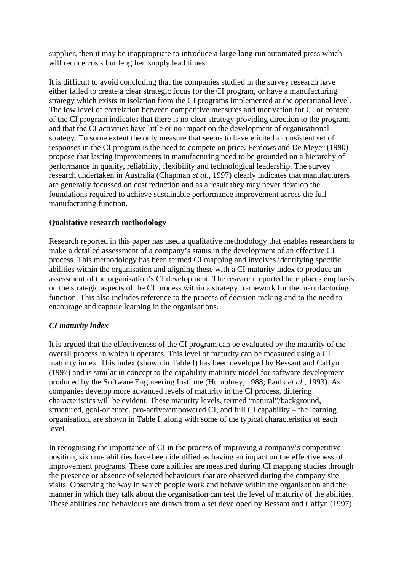supplier, then it may be inappropriate to introduce a large long run automated press which will reduce costs but lengthen supply lead times.

It is difficult to avoid concluding that the companies studied in the survey research have either failed to create a clear strategic focus for the CI program, or have a manufacturing strategy which exists in isolation from the CI programs implemented at the operational level. The low level of correlation between competitive measures and motivation for CI or content of the CI program indicates that there is no clear strategy providing direction to the program, and that the CI activities have little or no impact on the development of organisational strategy. To some extent the only measure that seems to have elicited a consistent set of responses in the CI program is the need to compete on price. Ferdows and De Meyer (1990) propose that lasting improvements in manufacturing need to be grounded on a hierarchy of performance in quality, reliability, flexibility and technological leadership. The survey research undertaken in Australia (Chapman *et al*., 1997) clearly indicates that manufacturers are generally focussed on cost reduction and as a result they may never develop the foundations required to achieve sustainable performance improvement across the full manufacturing function.

#### **Qualitative research methodology**

Research reported in this paper has used a qualitative methodology that enables researchers to make a detailed assessment of a company's status in the development of an effective CI process. This methodology has been termed CI mapping and involves identifying specific abilities within the organisation and aligning these with a CI maturity index to produce an assessment of the organisation's CI development. The research reported here places emphasis on the strategic aspects of the CI process within a strategy framework for the manufacturing function. This also includes reference to the process of decision making and to the need to encourage and capture learning in the organisations.

# *CI maturity index*

It is argued that the effectiveness of the CI program can be evaluated by the maturity of the overall process in which it operates. This level of maturity can be measured using a CI maturity index. This index (shown in Table I) has been developed by Bessant and Caffyn (1997) and is similar in concept to the capability maturity model for software development produced by the Software Engineering Institute (Humphrey, 1988; Paulk *et al*., 1993). As companies develop more advanced levels of maturity in the CI process, differing characteristics will be evident. These maturity levels, termed "natural"/background, structured, goal-oriented, pro-active/empowered CI, and full CI capability – the learning organisation, are shown in Table I, along with some of the typical characteristics of each level.

In recognising the importance of CI in the process of improving a company's competitive position, six core abilities have been identified as having an impact on the effectiveness of improvement programs. These core abilities are measured during CI mapping studies through the presence or absence of selected behaviours that are observed during the company site visits. Observing the way in which people work and behave within the organisation and the manner in which they talk about the organisation can test the level of maturity of the abilities. These abilities and behaviours are drawn from a set developed by Bessant and Caffyn (1997).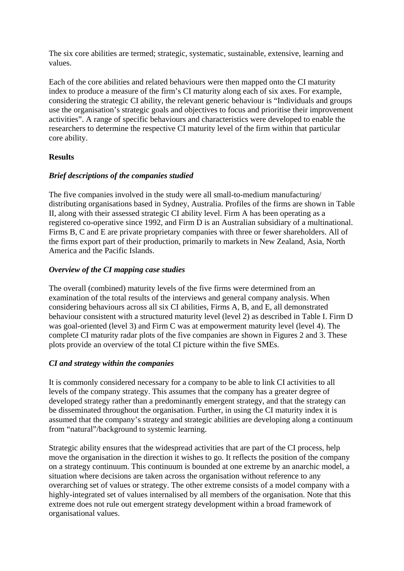The six core abilities are termed; strategic, systematic, sustainable, extensive, learning and values.

Each of the core abilities and related behaviours were then mapped onto the CI maturity index to produce a measure of the firm's CI maturity along each of six axes. For example, considering the strategic CI ability, the relevant generic behaviour is "Individuals and groups use the organisation's strategic goals and objectives to focus and prioritise their improvement activities". A range of specific behaviours and characteristics were developed to enable the researchers to determine the respective CI maturity level of the firm within that particular core ability.

# **Results**

# *Brief descriptions of the companies studied*

The five companies involved in the study were all small-to-medium manufacturing/ distributing organisations based in Sydney, Australia. Profiles of the firms are shown in Table II, along with their assessed strategic CI ability level. Firm A has been operating as a registered co-operative since 1992, and Firm D is an Australian subsidiary of a multinational. Firms B, C and E are private proprietary companies with three or fewer shareholders. All of the firms export part of their production, primarily to markets in New Zealand, Asia, North America and the Pacific Islands.

# *Overview of the CI mapping case studies*

The overall (combined) maturity levels of the five firms were determined from an examination of the total results of the interviews and general company analysis. When considering behaviours across all six CI abilities, Firms A, B, and E, all demonstrated behaviour consistent with a structured maturity level (level 2) as described in Table I. Firm D was goal-oriented (level 3) and Firm C was at empowerment maturity level (level 4). The complete CI maturity radar plots of the five companies are shown in Figures 2 and 3. These plots provide an overview of the total CI picture within the five SMEs.

# *CI and strategy within the companies*

It is commonly considered necessary for a company to be able to link CI activities to all levels of the company strategy. This assumes that the company has a greater degree of developed strategy rather than a predominantly emergent strategy, and that the strategy can be disseminated throughout the organisation. Further, in using the CI maturity index it is assumed that the company's strategy and strategic abilities are developing along a continuum from "natural"/background to systemic learning.

Strategic ability ensures that the widespread activities that are part of the CI process, help move the organisation in the direction it wishes to go. It reflects the position of the company on a strategy continuum. This continuum is bounded at one extreme by an anarchic model, a situation where decisions are taken across the organisation without reference to any overarching set of values or strategy. The other extreme consists of a model company with a highly-integrated set of values internalised by all members of the organisation. Note that this extreme does not rule out emergent strategy development within a broad framework of organisational values.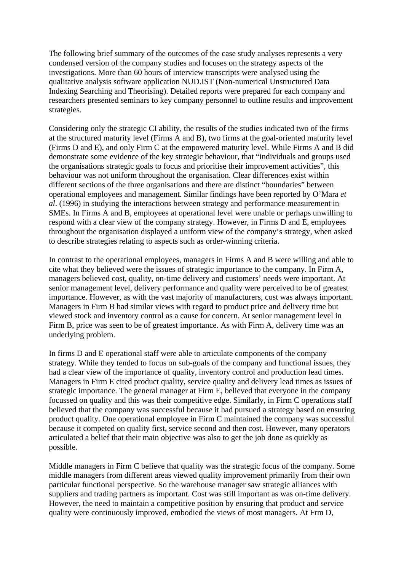The following brief summary of the outcomes of the case study analyses represents a very condensed version of the company studies and focuses on the strategy aspects of the investigations. More than 60 hours of interview transcripts were analysed using the qualitative analysis software application NUD.IST (Non-numerical Unstructured Data Indexing Searching and Theorising). Detailed reports were prepared for each company and researchers presented seminars to key company personnel to outline results and improvement strategies.

Considering only the strategic CI ability, the results of the studies indicated two of the firms at the structured maturity level (Firms A and B), two firms at the goal-oriented maturity level (Firms D and E), and only Firm C at the empowered maturity level. While Firms A and B did demonstrate some evidence of the key strategic behaviour, that "individuals and groups used the organisations strategic goals to focus and prioritise their improvement activities", this behaviour was not uniform throughout the organisation. Clear differences exist within different sections of the three organisations and there are distinct "boundaries" between operational employees and management. Similar findings have been reported by O'Mara *et al*. (1996) in studying the interactions between strategy and performance measurement in SMEs. In Firms A and B, employees at operational level were unable or perhaps unwilling to respond with a clear view of the company strategy. However, in Firms D and E, employees throughout the organisation displayed a uniform view of the company's strategy, when asked to describe strategies relating to aspects such as order-winning criteria.

In contrast to the operational employees, managers in Firms A and B were willing and able to cite what they believed were the issues of strategic importance to the company. In Firm A, managers believed cost, quality, on-time delivery and customers' needs were important. At senior management level, delivery performance and quality were perceived to be of greatest importance. However, as with the vast majority of manufacturers, cost was always important. Managers in Firm B had similar views with regard to product price and delivery time but viewed stock and inventory control as a cause for concern. At senior management level in Firm B, price was seen to be of greatest importance. As with Firm A, delivery time was an underlying problem.

In firms D and E operational staff were able to articulate components of the company strategy. While they tended to focus on sub-goals of the company and functional issues, they had a clear view of the importance of quality, inventory control and production lead times. Managers in Firm E cited product quality, service quality and delivery lead times as issues of strategic importance. The general manager at Firm E, believed that everyone in the company focussed on quality and this was their competitive edge. Similarly, in Firm C operations staff believed that the company was successful because it had pursued a strategy based on ensuring product quality. One operational employee in Firm C maintained the company was successful because it competed on quality first, service second and then cost. However, many operators articulated a belief that their main objective was also to get the job done as quickly as possible.

Middle managers in Firm C believe that quality was the strategic focus of the company. Some middle managers from different areas viewed quality improvement primarily from their own particular functional perspective. So the warehouse manager saw strategic alliances with suppliers and trading partners as important. Cost was still important as was on-time delivery. However, the need to maintain a competitive position by ensuring that product and service quality were continuously improved, embodied the views of most managers. At Frm D,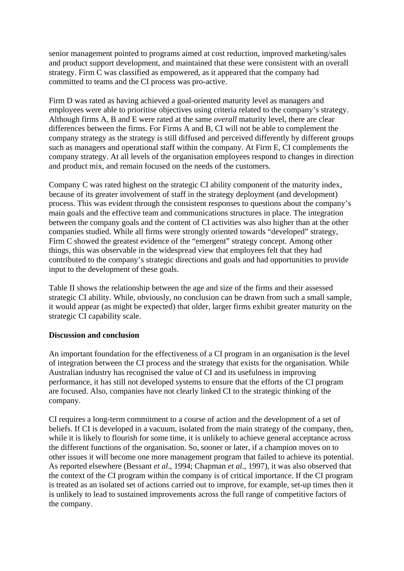senior management pointed to programs aimed at cost reduction, improved marketing/sales and product support development, and maintained that these were consistent with an overall strategy. Firm C was classified as empowered, as it appeared that the company had committed to teams and the CI process was pro-active.

Firm D was rated as having achieved a goal-oriented maturity level as managers and employees were able to prioritise objectives using criteria related to the company's strategy. Although firms A, B and E were rated at the same *overall* maturity level, there are clear differences between the firms. For Firms A and B, CI will not be able to complement the company strategy as the strategy is still diffused and perceived differently by different groups such as managers and operational staff within the company. At Firm E, CI complements the company strategy. At all levels of the organisation employees respond to changes in direction and product mix, and remain focused on the needs of the customers.

Company C was rated highest on the strategic CI ability component of the maturity index, because of its greater involvement of staff in the strategy deployment (and development) process. This was evident through the consistent responses to questions about the company's main goals and the effective team and communications structures in place. The integration between the company goals and the content of CI activities was also higher than at the other companies studied. While all firms were strongly oriented towards "developed" strategy, Firm C showed the greatest evidence of the "emergent" strategy concept. Among other things, this was observable in the widespread view that employees felt that they had contributed to the company's strategic directions and goals and had opportunities to provide input to the development of these goals.

Table II shows the relationship between the age and size of the firms and their assessed strategic CI ability. While, obviously, no conclusion can be drawn from such a small sample, it would appear (as might be expected) that older, larger firms exhibit greater maturity on the strategic CI capability scale.

#### **Discussion and conclusion**

An important foundation for the effectiveness of a CI program in an organisation is the level of integration between the CI process and the strategy that exists for the organisation. While Australian industry has recognised the value of CI and its usefulness in improving performance, it has still not developed systems to ensure that the efforts of the CI program are focused. Also, companies have not clearly linked CI to the strategic thinking of the company.

CI requires a long-term commitment to a course of action and the development of a set of beliefs. If CI is developed in a vacuum, isolated from the main strategy of the company, then, while it is likely to flourish for some time, it is unlikely to achieve general acceptance across the different functions of the organisation. So, sooner or later, if a champion moves on to other issues it will become one more management program that failed to achieve its potential. As reported elsewhere (Bessant *et al*., 1994; Chapman *et al*., 1997), it was also observed that the context of the CI program within the company is of critical importance. If the CI program is treated as an isolated set of actions carried out to improve, for example, set-up times then it is unlikely to lead to sustained improvements across the full range of competitive factors of the company.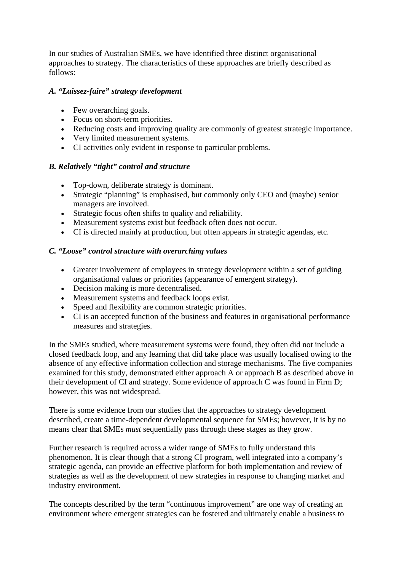In our studies of Australian SMEs, we have identified three distinct organisational approaches to strategy. The characteristics of these approaches are briefly described as follows:

#### *A. "Laissez-faire" strategy development*

- Few overarching goals.
- Focus on short-term priorities.
- Reducing costs and improving quality are commonly of greatest strategic importance.
- Very limited measurement systems.
- CI activities only evident in response to particular problems.

#### *B. Relatively "tight" control and structure*

- Top-down, deliberate strategy is dominant.
- Strategic "planning" is emphasised, but commonly only CEO and (maybe) senior managers are involved.
- Strategic focus often shifts to quality and reliability.
- Measurement systems exist but feedback often does not occur.
- CI is directed mainly at production, but often appears in strategic agendas, etc.

#### *C. "Loose" control structure with overarching values*

- Greater involvement of employees in strategy development within a set of guiding organisational values or priorities (appearance of emergent strategy).
- Decision making is more decentralised.
- Measurement systems and feedback loops exist.
- Speed and flexibility are common strategic priorities.
- CI is an accepted function of the business and features in organisational performance measures and strategies.

In the SMEs studied, where measurement systems were found, they often did not include a closed feedback loop, and any learning that did take place was usually localised owing to the absence of any effective information collection and storage mechanisms. The five companies examined for this study, demonstrated either approach A or approach B as described above in their development of CI and strategy. Some evidence of approach C was found in Firm D; however, this was not widespread.

There is some evidence from our studies that the approaches to strategy development described, create a time-dependent developmental sequence for SMEs; however, it is by no means clear that SMEs *must* sequentially pass through these stages as they grow.

Further research is required across a wider range of SMEs to fully understand this phenomenon. It is clear though that a strong CI program, well integrated into a company's strategic agenda, can provide an effective platform for both implementation and review of strategies as well as the development of new strategies in response to changing market and industry environment.

The concepts described by the term "continuous improvement" are one way of creating an environment where emergent strategies can be fostered and ultimately enable a business to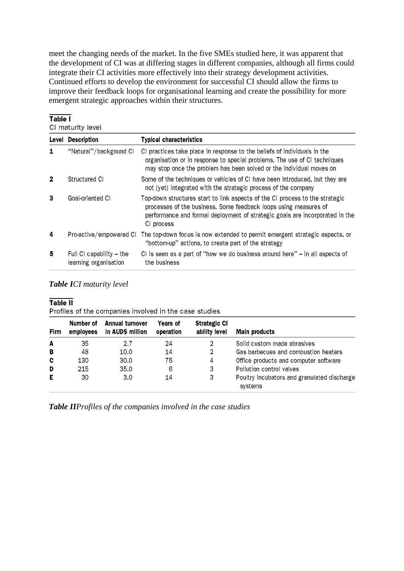meet the changing needs of the market. In the five SMEs studied here, it was apparent that the development of CI was at differing stages in different companies, although all firms could integrate their CI activities more effectively into their strategy development activities. Continued efforts to develop the environment for successful CI should allow the firms to improve their feedback loops for organisational learning and create the possibility for more emergent strategic approaches within their structures.

# $\overline{\mathsf{Table}}$

CI maturity level

| Level       | <b>Description</b>                                | <b>Typical characteristics</b>                                                                                                                                                                                                                 |  |  |
|-------------|---------------------------------------------------|------------------------------------------------------------------------------------------------------------------------------------------------------------------------------------------------------------------------------------------------|--|--|
| 1           | "Natural"/backgound Cl                            | CI practices take place in response to the beliefs of individuals in the<br>organisation or in response to special problems. The use of CI techniques<br>may stop once the problem has been solved or the individual moves on                  |  |  |
| $\mathbf 2$ | Structured Cl                                     | Some of the techniques or vehicles of CI have been introduced, but they are<br>not (yet) integrated with the strategic process of the company                                                                                                  |  |  |
| 3           | Goal-oriented Cl                                  | Top-down structures start to link aspects of the CI process to the strategic<br>processes of the business. Some feedback loops using measures of<br>performance and formal deployment of strategic goals are incorporated in the<br>CI process |  |  |
| 4           | Pro-active/empowered Cl                           | The top-down focus is now extended to permit emergent strategic aspects, or<br>"bottom-up" actions, to create part of the strategy                                                                                                             |  |  |
| 5           | Full CI capability - the<br>learning organisation | CI is seen as a part of "how we do business around here" – in all aspects of<br>the business                                                                                                                                                   |  |  |

#### *Table ICI maturity level*

#### **Table II**

Profiles of the companies involved in the case studies

| Firm | Number of<br>employees | Annual turnover<br>in AUD\$ million | Years of<br>operation | Strategic CI<br>ability level | <b>Main products</b>                                   |
|------|------------------------|-------------------------------------|-----------------------|-------------------------------|--------------------------------------------------------|
| A    | 35                     | 2.7                                 | 24                    | 2                             | Solid custom made abrasives                            |
| В    | 48                     | 10.0                                | 14                    | 2                             | Gas barbecues and combustion heaters                   |
| c    | 130                    | 30.0                                | 75                    | 4                             | Office products and computer software                  |
| D    | 215                    | 35.0                                | 6                     | 3                             | Pollution control valves                               |
| Е    | 30                     | 30                                  | 14                    | 3                             | Poultry incubators and granulated discharge<br>systems |

*Table IIProfiles of the companies involved in the case studies*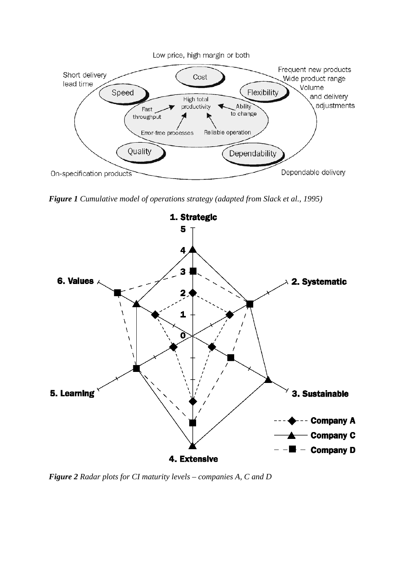

*Figure 1 Cumulative model of operations strategy (adapted from Slack et al., 1995)*



*Figure 2 Radar plots for CI maturity levels – companies A, C and D*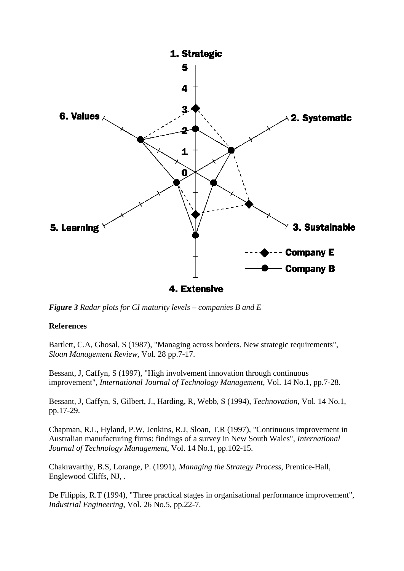

4. Extensive

*Figure 3 Radar plots for CI maturity levels – companies B and E*

# **References**

Bartlett, C.A, Ghosal, S (1987), "Managing across borders. New strategic requirements", *Sloan Management Review*, Vol. 28 pp.7-17.

Bessant, J, Caffyn, S (1997), "High involvement innovation through continuous improvement", *International Journal of Technology Management*, Vol. 14 No.1, pp.7-28.

Bessant, J, Caffyn, S, Gilbert, J., Harding, R, Webb, S (1994), *Technovation*, Vol. 14 No.1, pp.17-29.

Chapman, R.L, Hyland, P.W, Jenkins, R.J, Sloan, T.R (1997), "Continuous improvement in Australian manufacturing firms: findings of a survey in New South Wales", *International Journal of Technology Management*, Vol. 14 No.1, pp.102-15.

Chakravarthy, B.S, Lorange, P. (1991), *Managing the Strategy Process*, Prentice-Hall, Englewood Cliffs, NJ, .

De Filippis, R.T (1994), "Three practical stages in organisational performance improvement", *Industrial Engineering*, Vol. 26 No.5, pp.22-7.